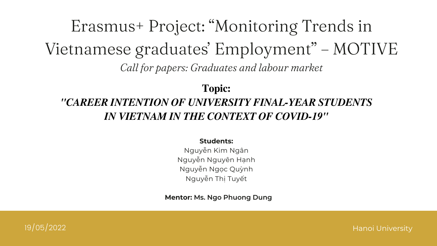#### Students:

Nguyễn Kim Ngân Nguyễn Nguyên Hạnh Nguyễn Ngọc Quỳnh Nguyễn Thị Tuyết

19/05/2022 Hanoi University

## Erasmus+ Project: "Monitoring Trends in Vietnamese graduates' Employment" – MOTIVE Call for papers: Graduates and labour market

## Topic: *"CAREER INTENTION OF UNIVERSITY FINAL-YEAR STUDENTS IN VIETNAM IN THE CONTEXT OF COVID-19"*

Mentor: Ms. Ngo Phuong Dung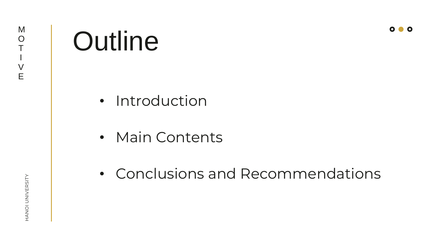# Outline

- Introduction
- Main Contents
- Conclusions and Recommendations



## HANOI UNIVERSITY HANOI UNIVERSITY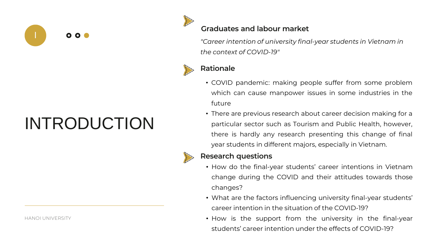

## INTRODUCTION

HANOI UNIVERSITY



#### Graduates and labour market

*"Career intention of university final-year students in Vietnam in the context of COVID-19"*



#### Rationale

• COVID pandemic: making people suffer from some problem which can cause manpower issues in some industries in the

- future
- 



• There are previous research about career decision making for a particular sector such as Tourism and Public Health, however, there is hardly any research presenting this change of final year students in different majors, especially in Vietnam.

#### Research questions

• How do the final-year students' career intentions in Vietnam change during the COVID and their attitudes towards those

- changes?
- 
- 

• What are the factors influencing university final-year students' career intention in the situation of the COVID-19? • How is the support from the university in the final-year students' career intention under the effects of COVID-19?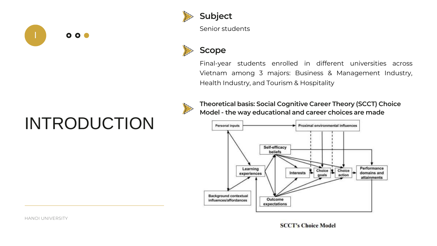

## INTRODUCTION

HANOI UNIVERSITY

**SCCT's Choice Model** 



Senior students



#### Scope

Final-year students enrolled in different universities across Vietnam among 3 majors: Business & Management Industry, Health Industry, and Tourism & Hospitality



Theoretical basis: Social Cognitive Career Theory (SCCT) Choice Model - the way educational and career choices are made

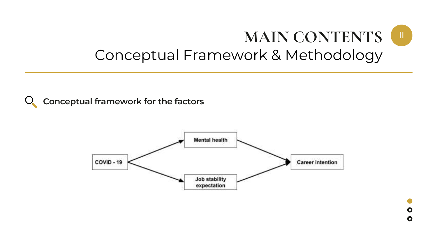



# Conceptual Framework & Methodology

#### Conceptual framework for the factors

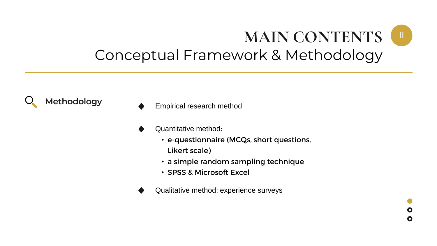

 $\mathbf O$  $\mathbf O$ 

# Conceptual Framework & Methodology

Methodology **Empirical research method** 

- Quantitative method:
	- e-questionnaire (MCQs, short questions, Likert scale)
	- a simple random sampling technique
	- SPSS & Microsoft Excel
- Qualitative method: experience surveys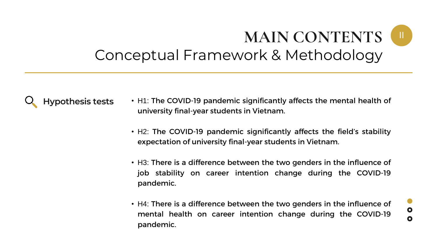## **MAIN CONTENTS** Conceptual Framework & Methodology



- Hypothesis tests H1: The COVID-19 pandemic significantly affects the mental health of university final-year students in Vietnam.
	- H2: The COVID-19 pandemic significantly affects the field's stability expectation of university final-year students in Vietnam.
	- H3: There is a difference between the two genders in the influence of job stability on career intention change during the COVID-19 pandemic.
	- H4: There is a difference between the two genders in the influence of mental health on career intention change during the COVID-19 pandemic.

 $\bullet$ 

 $\bullet$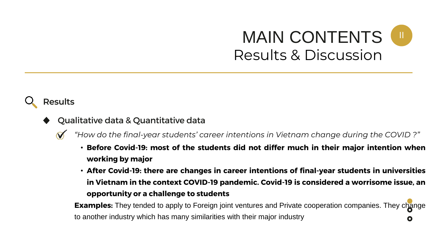**Examples:** They tended to apply to Foreign joint ventures and Private cooperation companies. They change to another industry which has many similarities with their major industry

- Qualitative data & Quantitative data
	- *"How do the final-year students' career intentions in Vietnam change during the COVID ?"*
		- Before Covid-19: most of the students did not differ much in their major intention when working by major
		- After Covid-19: there are changes in career intentions of final-year students in universities in Vietnam in the context COVID-19 pandemic. Covid-19 is considered a worrisome issue, an opportunity or a challenge to students

## Results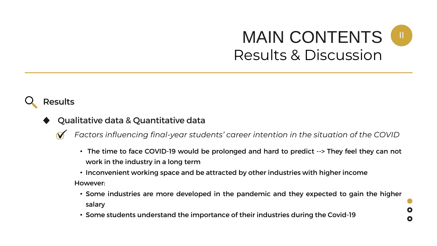$\mathbf O$ 

 $\mathbf O$ 

## Results

- Qualitative data & Quantitative data
	- *Factors influencing final-year students' career intention in the situation of the COVID*
		- The time to face COVID-19 would be prolonged and hard to predict --> They feel they can not work in the industry in a long term
		- Inconvenient working space and be attracted by other industries with higher income However:
			- Some industries are more developed in the pandemic and they expected to gain the higher salary
			- Some students understand the importance of their industries during the Covid-19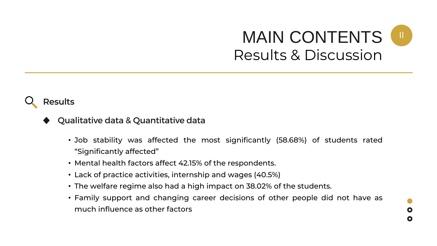### Results

- Qualitative data & Quantitative data
	- Job stability was affected the most significantly (58.68%) of students rated "Significantly affected"
	- Mental health factors affect 42.15% of the respondents.
	- Lack of practice activities, internship and wages (40.5%)
	- The welfare regime also had a high impact on 38.02% of the students.
	- Family support and changing career decisions of other people did not have as much influence as other factors

 $\mathbf O$ 

 $\mathbf O$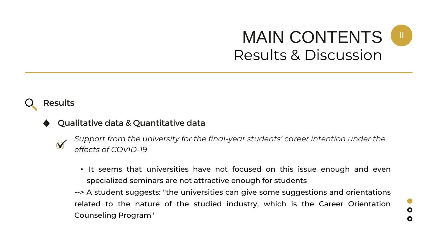### Results

#### Qualitative data & Quantitative data

- $\boldsymbol{\mathcal{N}}$
- *Support from the university for the final-year students' career intention under the effects of COVID-19*
- It seems that universities have not focused on this issue enough and even specialized seminars are not attractive enough for students --> A student suggests: "the universities can give some suggestions and orientations related to the nature of the studied industry, which is the Career Orientation Counseling Program"

 $\bullet$  $\mathbf O$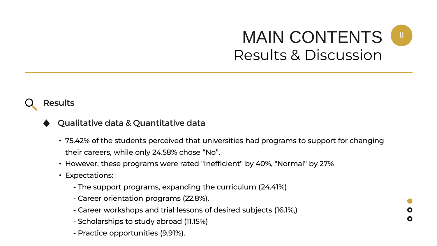### Results



#### Qualitative data & Quantitative data

- 75.42% of the students perceived that universities had programs to support for changing their careers, while only 24.58% chose "No".
- However, these programs were rated "Inefficient" by 40%, "Normal" by 27%
- Expectations:
	- The support programs, expanding the curriculum (24.41%)
	- Career orientation programs (22.8%).
	- Career workshops and trial lessons of desired subjects (16.1%,)
	- Scholarships to study abroad (11.15%)
	- Practice opportunities (9.91%).

 $\mathbf O$ 

O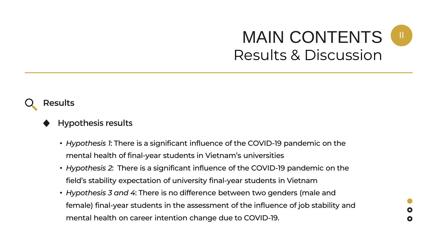#### Results



- *Hypothesis 1*: There is a significant influence of the COVID-19 pandemic on the mental health of final-year students in Vietnam's universities
- *Hypothesis 2*: There is a significant influence of the COVID-19 pandemic on the field's stability expectation of university final-year students in Vietnam
- *Hypothesis 3 and 4*: There is no difference between two genders (male and female) final-year students in the assessment of the influence of job stability and mental health on career intention change due to COVID-19.

 $\mathbf O$  $\mathbf O$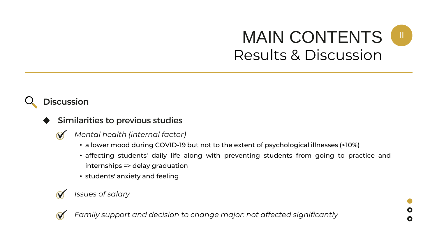## **Discussion**

- Similarities to previous studies
	- *Mental health (internal factor)* V
		- a lower mood during COVID-19 but not to the extent of psychological illnesses (<10%)
		- affecting students' daily life along with preventing students from going to practice and internships => delay graduation
		- students' anxiety and feeling



*Family support and decision to change major: not affected significantly*

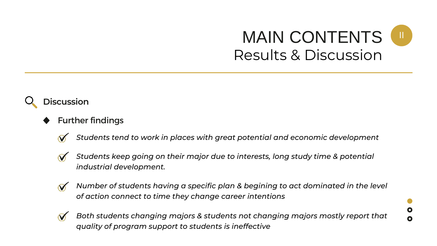

- Further findings
	- *Students tend to work in places with great potential and economic development*
	- - *Students keep going on their major due to interests, long study time & potential industrial development.*
	- $\boldsymbol{\mathcal{N}}$ 
		- *Number of students having a specific plan & begining to act dominated in the level of action connect to time they change career intentions*



*Both students changing majors & students not changing majors mostly report that quality of program support to students is ineffective*

 $\mathbf O$ 

O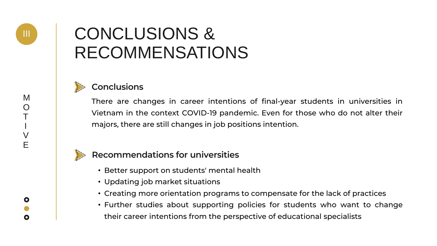## CONCLUSIONS & RECOMMENSATIONS



#### **Conclusions**

III



There are changes in career intentions of final-year students in universities in Vietnam in the context COVID-19 pandemic. Even for those who do not alter their majors, there are still changes in job positions intention.



#### Recommendations for universities

- Better support on students' mental health
- Updating job market situations
- Creating more orientation programs to compensate for the lack of practices
- Further studies about supporting policies for students who want to change their career intentions from the perspective of educational specialists